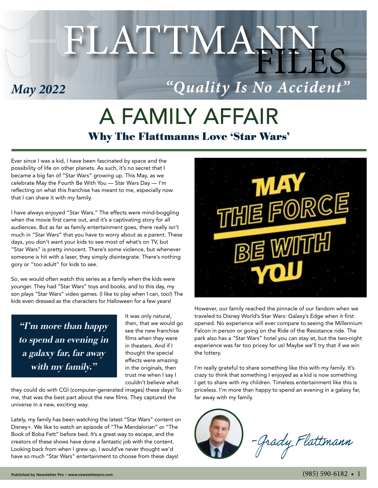# FLATTMANN

### *May 2022*

## *"Quality Is No Accident"*

# A FAMILY AFFAIR Why The Flattmanns Love 'Star Wars'

Ever since I was a kid, I have been fascinated by space and the possibility of life on other planets. As such, it's no secret that I became a big fan of "Star Wars" growing up. This May, as we celebrate May the Fourth Be With You — Star Wars Day — I'm reflecting on what this franchise has meant to me, especially now that I can share it with my family.

I have always enjoyed "Star Wars." The effects were mind-boggling when the movie first came out, and it's a captivating story for all audiences. But as far as family entertainment goes, there really isn't much in "Star Wars" that you have to worry about as a parent. These days, you don't want your kids to see most of what's on TV, but "Star Wars" is pretty innocent. There's some violence, but whenever someone is hit with a laser, they simply disintegrate. There's nothing gory or "too adult" for kids to see.

So, we would often watch this series as a family when the kids were younger. They had "Star Wars" toys and books, and to this day, my son plays "Star Wars" video games. (I like to play when I can, too!) The kids even dressed as the characters for Halloween for a few years!

"I'm more than happy to spend an evening in a galaxy far, far away with my family."

It was only natural, then, that we would go see the new franchise films when they were in theaters. And if I thought the special effects were amazing in the originals, then trust me when I say I couldn't believe what

they could do with CGI (computer-generated images) these days! To me, that was the best part about the new films. They captured the universe in a new, exciting way.

Lately, my family has been watching the latest "Star Wars" content on Disney+. We like to watch an episode of "The Mandalorian" or "The Book of Boba Fett" before bed. It's a great way to escape, and the creators of these shows have done a fantastic job with the content. Looking back from when I grew up, I would've never thought we'd have so much "Star Wars" entertainment to choose from these days!



However, our family reached the pinnacle of our fandom when we traveled to Disney World's Star Wars: Galaxy's Edge when it first opened. No experience will ever compare to seeing the Millennium Falcon in person or going on the Ride of the Resistance ride. The park also has a "Star Wars" hotel you can stay at, but the two-night experience was far too pricey for us! Maybe we'll try that if we win the lottery.

I'm really grateful to share something like this with my family. It's crazy to think that something I enjoyed as a kid is now something I get to share with my children. Timeless entertainment like this is priceless. I'm more than happy to spend an evening in a galaxy far, far away with my family.

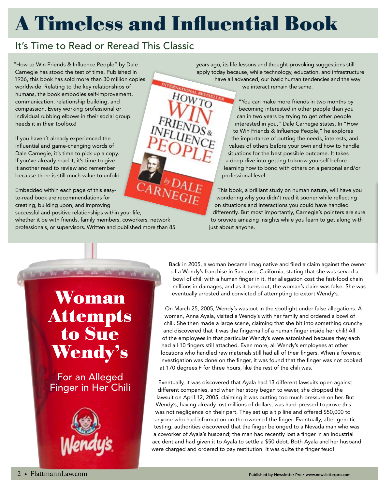# A Timeless and Influential Book

#### It's Time to Read or Reread This Classic

"How to Win Friends & Influence People" by Dale Carnegie has stood the test of time. Published in 1936, this book has sold more than 30 million copies worldwide. Relating to the key relationships of humans, the book embodies self-improvement, communication, relationship building, and compassion. Every working professional or individual rubbing elbows in their social group needs it in their toolbox!

If you haven't already experienced the influential and game-changing words of Dale Carnegie, it's time to pick up a copy. If you've already read it, it's time to give it another read to review and remember because there is still much value to unfold.

 $\overline{LARNEGLE}^{op}_{HDE}$ Embedded within each page of this easyto-read book are recommendations for creating, building upon, and improving successful and positive relationships within your life, whether it be with friends, family members, coworkers, network professionals, or supervisors. Written and published more than 85

years ago, its life lessons and thought-provoking suggestions still apply today because, while technology, education, and infrastructure have all advanced, our basic human tendencies and the way we interact remain the same. HOWTO

"You can make more friends in two months by becoming interested in other people than you can in two years by trying to get other people interested in you," Dale Carnegie states. In "How to Win Friends & Influence People," he explores the importance of putting the needs, interests, and values of others before your own and how to handle situations for the best possible outcome. It takes a deep dive into getting to know yourself before learning how to bond with others on a personal and/or professional level.

This book, a brilliant study on human nature, will have you wondering why you didn't read it sooner while reflecting on situations and interactions you could have handled differently. But most importantly, Carnegie's pointers are sure to provide amazing insights while you learn to get along with just about anyone.

Woman Attempts to Sue Wendy's

For an Alleged Finger in Her Chili



Back in 2005, a woman became imaginative and filed a claim against the owner of a Wendy's franchise in San Jose, California, stating that she was served a bowl of chili with a human finger in it. Her allegation cost the fast-food chain millions in damages, and as it turns out, the woman's claim was false. She was eventually arrested and convicted of attempting to extort Wendy's.

On March 25, 2005, Wendy's was put in the spotlight under false allegations. A woman, Anna Ayala, visited a Wendy's with her family and ordered a bowl of chili. She then made a large scene, claiming that she bit into something crunchy and discovered that it was the fingernail of a human finger inside her chili! All of the employees in that particular Wendy's were astonished because they each had all 10 fingers still attached. Even more, all Wendy's employees at other locations who handled raw materials still had all of their fingers. When a forensic investigation was done on the finger, it was found that the finger was not cooked at 170 degrees F for three hours, like the rest of the chili was.

Eventually, it was discovered that Ayala had 13 different lawsuits open against different companies, and when her story began to waver, she dropped the lawsuit on April 12, 2005, claiming it was putting too much pressure on her. But Wendy's, having already lost millions of dollars, was hard-pressed to prove this was not negligence on their part. They set up a tip line and offered \$50,000 to anyone who had information on the owner of the finger. Eventually, after genetic testing, authorities discovered that the finger belonged to a Nevada man who was a coworker of Ayala's husband; the man had recently lost a finger in an industrial accident and had given it to Ayala to settle a \$50 debt. Both Ayala and her husband were charged and ordered to pay restitution. It was quite the finger feud!

**To Tax Tax Co**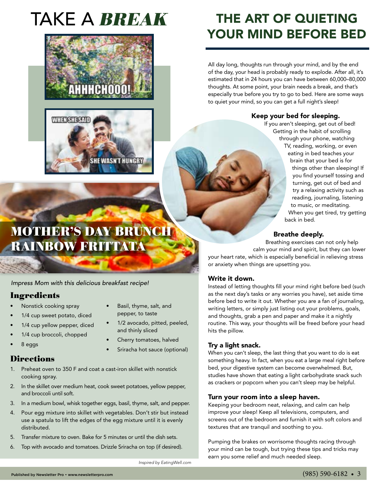# TAKE A BREAK





### MOTHER'S DAY BRUNCH RAINBOW FRITTATA

*Impress Mom with this delicious breakfast recipe!* 

#### **Ingredients**

- Nonstick cooking spray
- 1/4 cup sweet potato, diced
- 1/4 cup yellow pepper, diced
- 1/4 cup broccoli, chopped
- 8 eggs

#### **Directions**

- 1. Preheat oven to 350 F and coat a cast-iron skillet with nonstick cooking spray.
- 2. In the skillet over medium heat, cook sweet potatoes, yellow pepper, and broccoli until soft.
- 3. In a medium bowl, whisk together eggs, basil, thyme, salt, and pepper.
- 4. Pour egg mixture into skillet with vegetables. Don't stir but instead use a spatula to lift the edges of the egg mixture until it is evenly distributed.
- 5. Transfer mixture to oven. Bake for 5 minutes or until the dish sets.
- 6. Top with avocado and tomatoes. Drizzle Sriracha on top (if desired).

THE ART OF QUIETING YOUR MIND BEFORE BED

All day long, thoughts run through your mind, and by the end of the day, your head is probably ready to explode. After all, it's estimated that in 24 hours you can have between 60,000–80,000 thoughts. At some point, your brain needs a break, and that's especially true before you try to go to bed. Here are some ways to quiet your mind, so you can get a full night's sleep!

#### Keep your bed for sleeping.

If you aren't sleeping, get out of bed! Getting in the habit of scrolling through your phone, watching TV, reading, working, or even eating in bed teaches your brain that your bed is for things other than sleeping! If you find yourself tossing and turning, get out of bed and try a relaxing activity such as reading, journaling, listening to music, or meditating. When you get tired, try getting back in bed.

#### Breathe deeply.

Breathing exercises can not only help calm your mind and spirit, but they can lower your heart rate, which is especially beneficial in relieving stress or anxiety when things are upsetting you.

#### Write it down.

Instead of letting thoughts fill your mind right before bed (such as the next day's tasks or any worries you have), set aside time before bed to write it out. Whether you are a fan of journaling, writing letters, or simply just listing out your problems, goals, and thoughts, grab a pen and paper and make it a nightly routine. This way, your thoughts will be freed before your head hits the pillow.

#### Try a light snack.

When you can't sleep, the last thing that you want to do is eat something heavy. In fact, when you eat a large meal right before bed, your digestive system can become overwhelmed. But, studies have shown that eating a light carbohydrate snack such as crackers or popcorn when you can't sleep may be helpful.

#### Turn your room into a sleep haven.

Keeping your bedroom neat, relaxing, and calm can help improve your sleep! Keep all televisions, computers, and screens out of the bedroom and furnish it with soft colors and textures that are tranquil and soothing to you.

Pumping the brakes on worrisome thoughts racing through your mind can be tough, but trying these tips and tricks may earn you some relief and much needed sleep.

*Inspired by EatingWell.com* 

• Basil, thyme, salt, and pepper, to taste

and thinly sliced

• 1/2 avocado, pitted, peeled,

Cherry tomatoes, halved • Sriracha hot sauce (optional)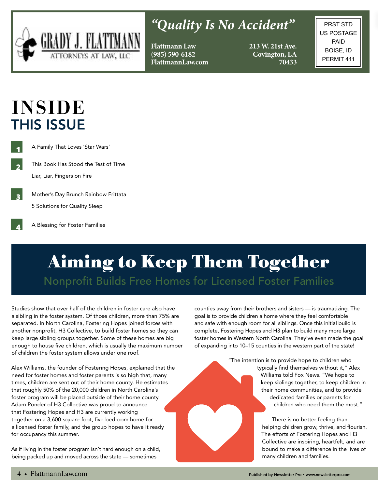

### *"Quality Is No Accident"*

**Flattmann Law (985) 590-6182 FlattmannLaw.com** **213 W. 21st Ave. Covington, LA 70433**

PRST STD US POSTAGE PAID BOISE, ID PERMIT 411

# INSIDE THIS ISSUE

**2**

**4**

**1**

A Family That Loves 'Star Wars'

This Book Has Stood the Test of Time Liar, Liar, Fingers on Fire

**3** Mother's Day Brunch Rainbow Frittata 5 Solutions for Quality Sleep

A Blessing for Foster Families

# Aiming to Keep Them Together Nonprofit Builds Free Homes for Licensed Foster Families

Studies show that over half of the children in foster care also have a sibling in the foster system. Of those children, more than 75% are separated. In North Carolina, Fostering Hopes joined forces with another nonprofit, H3 Collective, to build foster homes so they can keep large sibling groups together. Some of these homes are big enough to house five children, which is usually the maximum number of children the foster system allows under one roof.

Alex Williams, the founder of Fostering Hopes, explained that the need for foster homes and foster parents is so high that, many times, children are sent out of their home county. He estimates that roughly 50% of the 20,000 children in North Carolina's foster program will be placed outside of their home county. Adam Ponder of H3 Collective was proud to announce that Fostering Hopes and H3 are currently working together on a 3,600-square-foot, five-bedroom home for a licensed foster family, and the group hopes to have it ready for occupancy this summer.

As if living in the foster program isn't hard enough on a child, being packed up and moved across the state — sometimes

counties away from their brothers and sisters — is traumatizing. The goal is to provide children a home where they feel comfortable and safe with enough room for all siblings. Once this initial build is complete, Fostering Hopes and H3 plan to build many more large foster homes in Western North Carolina. They've even made the goal of expanding into 10–15 counties in the western part of the state!

> "The intention is to provide hope to children who typically find themselves without it," Alex Williams told Fox News. "We hope to keep siblings together, to keep children in their home communities, and to provide dedicated families or parents for children who need them the most."

> > There is no better feeling than helping children grow, thrive, and flourish. The efforts of Fostering Hopes and H3 Collective are inspiring, heartfelt, and are bound to make a difference in the lives of many children and families.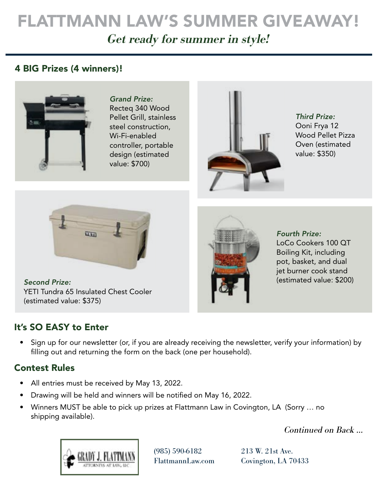# FLATTMANN LAW'S SUMMER GIVEAWAY!

Get ready for summer in style!

#### 4 BIG Prizes (4 winners)!



*Grand Prize:* Recteq 340 Wood Pellet Grill, stainless steel construction, Wi-Fi-enabled controller, portable design (estimated value: \$700)



*Third Prize:* Ooni Frya 12 Wood Pellet Pizza Oven (estimated value: \$350)



*Second Prize:* YETI Tundra 65 Insulated Chest Cooler (estimated value: \$375)

#### It's SO EASY to Enter

*Fourth Prize:* LoCo Cookers 100 QT Boiling Kit, including pot, basket, and dual jet burner cook stand (estimated value: \$200)

• Sign up for our newsletter (or, if you are already receiving the newsletter, verify your information) by filling out and returning the form on the back (one per household).

#### Contest Rules

- All entries must be received by May 13, 2022.
- Drawing will be held and winners will be notified on May 16, 2022.
- Winners MUST be able to pick up prizes at Flattmann Law in Covington, LA (Sorry … no shipping available).

Continued on Back …



(985) 590-6182 FlattmannLaw.com

213 W. 21st Ave. Covington, LA 70433